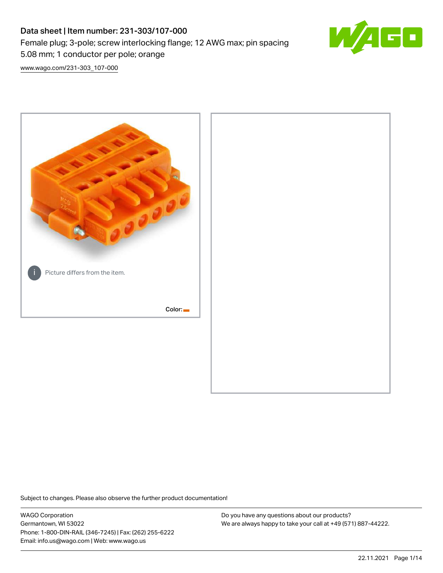# Data sheet | Item number: 231-303/107-000 Female plug; 3-pole; screw interlocking flange; 12 AWG max; pin spacing 5.08 mm; 1 conductor per pole; orange



[www.wago.com/231-303\\_107-000](http://www.wago.com/231-303_107-000)



Subject to changes. Please also observe the further product documentation!

WAGO Corporation Germantown, WI 53022 Phone: 1-800-DIN-RAIL (346-7245) | Fax: (262) 255-6222 Email: info.us@wago.com | Web: www.wago.us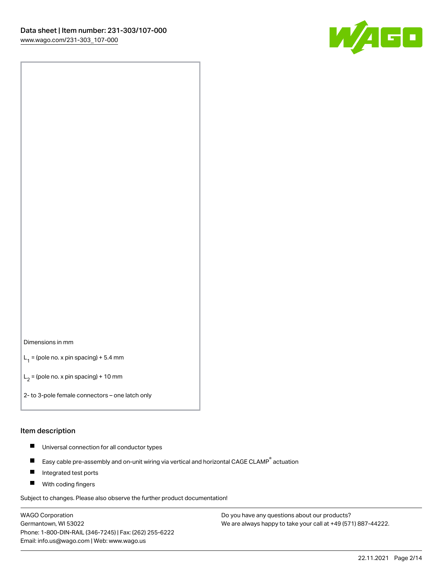

#### Dimensions in mm

 $L_1$  = (pole no. x pin spacing) + 5.4 mm

 $L_2$  = (pole no. x pin spacing) + 10 mm

2- to 3-pole female connectors – one latch only

#### Item description

- $\blacksquare$ Universal connection for all conductor types
- Easy cable pre-assembly and on-unit wiring via vertical and horizontal CAGE CLAMP<sup>®</sup> actuation  $\blacksquare$
- П Integrated test ports
- $\blacksquare$ With coding fingers

Subject to changes. Please also observe the further product documentation!

WAGO Corporation Germantown, WI 53022 Phone: 1-800-DIN-RAIL (346-7245) | Fax: (262) 255-6222 Email: info.us@wago.com | Web: www.wago.us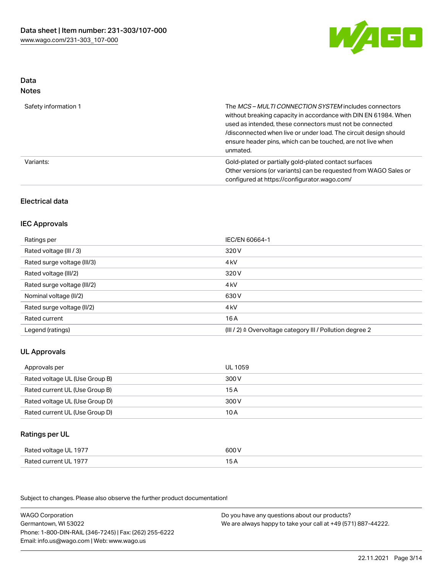

# Data

| M.<br>×<br>×<br>۹<br>٠<br>۰, |
|------------------------------|
|------------------------------|

| Safety information 1 | The MCS-MULTI CONNECTION SYSTEM includes connectors<br>without breaking capacity in accordance with DIN EN 61984. When<br>used as intended, these connectors must not be connected<br>/disconnected when live or under load. The circuit design should<br>ensure header pins, which can be touched, are not live when<br>unmated. |
|----------------------|-----------------------------------------------------------------------------------------------------------------------------------------------------------------------------------------------------------------------------------------------------------------------------------------------------------------------------------|
| Variants:            | Gold-plated or partially gold-plated contact surfaces<br>Other versions (or variants) can be requested from WAGO Sales or<br>configured at https://configurator.wago.com/                                                                                                                                                         |

## Electrical data

### IEC Approvals

| Ratings per                 | IEC/EN 60664-1                                                       |
|-----------------------------|----------------------------------------------------------------------|
| Rated voltage (III / 3)     | 320 V                                                                |
| Rated surge voltage (III/3) | 4 <sub>kV</sub>                                                      |
| Rated voltage (III/2)       | 320 V                                                                |
| Rated surge voltage (III/2) | 4 <sub>kV</sub>                                                      |
| Nominal voltage (II/2)      | 630 V                                                                |
| Rated surge voltage (II/2)  | 4 <sub>kV</sub>                                                      |
| Rated current               | 16 A                                                                 |
| Legend (ratings)            | (III / 2) $\triangleq$ Overvoltage category III / Pollution degree 2 |

# UL Approvals

| Approvals per                  | UL 1059 |
|--------------------------------|---------|
| Rated voltage UL (Use Group B) | 300 V   |
| Rated current UL (Use Group B) | 15 A    |
| Rated voltage UL (Use Group D) | 300 V   |
| Rated current UL (Use Group D) | 10 A    |

## Ratings per UL

| Rated voltage UL 1977 | 600 V |
|-----------------------|-------|
| Rated current UL 1977 | 15 A  |

| <b>WAGO Corporation</b>                                | Do you have any questions about our products?                 |
|--------------------------------------------------------|---------------------------------------------------------------|
| Germantown, WI 53022                                   | We are always happy to take your call at +49 (571) 887-44222. |
| Phone: 1-800-DIN-RAIL (346-7245)   Fax: (262) 255-6222 |                                                               |
| Email: info.us@wago.com   Web: www.wago.us             |                                                               |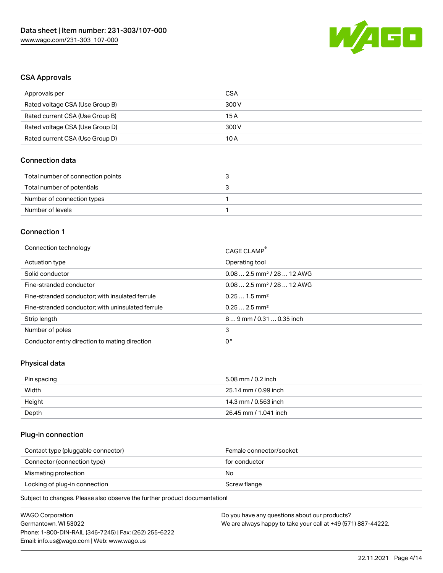

### CSA Approvals

| Approvals per                   | CSA   |
|---------------------------------|-------|
| Rated voltage CSA (Use Group B) | 300 V |
| Rated current CSA (Use Group B) | 15 A  |
| Rated voltage CSA (Use Group D) | 300 V |
| Rated current CSA (Use Group D) | 10 A  |

### Connection data

| Total number of connection points |  |
|-----------------------------------|--|
| Total number of potentials        |  |
| Number of connection types        |  |
| Number of levels                  |  |

### Connection 1

| Connection technology                             | CAGE CLAMP®                             |
|---------------------------------------------------|-----------------------------------------|
| Actuation type                                    | Operating tool                          |
| Solid conductor                                   | $0.082.5$ mm <sup>2</sup> / 28  12 AWG  |
| Fine-stranded conductor                           | $0.08$ 2.5 mm <sup>2</sup> / 28  12 AWG |
| Fine-stranded conductor; with insulated ferrule   | $0.251.5$ mm <sup>2</sup>               |
| Fine-stranded conductor; with uninsulated ferrule | $0.252.5$ mm <sup>2</sup>               |
| Strip length                                      | 89 mm / 0.31  0.35 inch                 |
| Number of poles                                   | 3                                       |
| Conductor entry direction to mating direction     | 0°                                      |

# Physical data

| Pin spacing | 5.08 mm / 0.2 inch    |
|-------------|-----------------------|
| Width       | 25.14 mm / 0.99 inch  |
| Height      | 14.3 mm / 0.563 inch  |
| Depth       | 26.45 mm / 1.041 inch |

# Plug-in connection

| Female connector/socket |
|-------------------------|
| for conductor           |
| No                      |
| Screw flange            |
|                         |

| WAGO Corporation                                       | Do you have any questions about our products?                 |
|--------------------------------------------------------|---------------------------------------------------------------|
| Germantown, WI 53022                                   | We are always happy to take your call at +49 (571) 887-44222. |
| Phone: 1-800-DIN-RAIL (346-7245)   Fax: (262) 255-6222 |                                                               |
| Email: info.us@wago.com   Web: www.wago.us             |                                                               |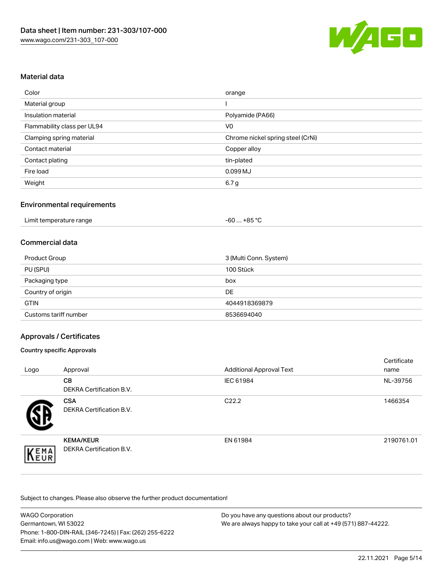

### Material data

| Color                       | orange                            |
|-----------------------------|-----------------------------------|
| Material group              |                                   |
| Insulation material         | Polyamide (PA66)                  |
| Flammability class per UL94 | V <sub>0</sub>                    |
| Clamping spring material    | Chrome nickel spring steel (CrNi) |
| Contact material            | Copper alloy                      |
| Contact plating             | tin-plated                        |
| Fire load                   | 0.099 MJ                          |
| Weight                      | 6.7 g                             |

### Environmental requirements

### Commercial data

| Product Group         | 3 (Multi Conn. System) |
|-----------------------|------------------------|
| PU (SPU)              | 100 Stück              |
| Packaging type        | box                    |
| Country of origin     | DE                     |
| <b>GTIN</b>           | 4044918369879          |
| Customs tariff number | 8536694040             |

### Approvals / Certificates

#### Country specific Approvals

| Logo | Approval                                            | <b>Additional Approval Text</b> | Certificate<br>name |
|------|-----------------------------------------------------|---------------------------------|---------------------|
|      | CВ<br><b>DEKRA Certification B.V.</b>               | IEC 61984                       | NL-39756            |
|      | <b>CSA</b><br>DEKRA Certification B.V.              | C <sub>22.2</sub>               | 1466354             |
| EMA  | <b>KEMA/KEUR</b><br><b>DEKRA Certification B.V.</b> | EN 61984                        | 2190761.01          |

| <b>WAGO Corporation</b>                                | Do you have any questions about our products?                 |
|--------------------------------------------------------|---------------------------------------------------------------|
| Germantown, WI 53022                                   | We are always happy to take your call at +49 (571) 887-44222. |
| Phone: 1-800-DIN-RAIL (346-7245)   Fax: (262) 255-6222 |                                                               |
| Email: info.us@wago.com   Web: www.wago.us             |                                                               |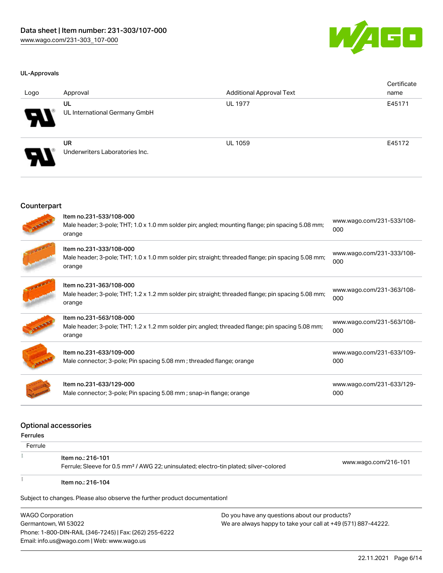

#### UL-Approvals

| Logo                       | Approval                                    | <b>Additional Approval Text</b> | Certificate<br>name |
|----------------------------|---------------------------------------------|---------------------------------|---------------------|
| $\boldsymbol{\mathcal{P}}$ | UL<br>UL International Germany GmbH         | <b>UL 1977</b>                  | E45171              |
| $\boldsymbol{\mathcal{P}}$ | <b>UR</b><br>Underwriters Laboratories Inc. | <b>UL 1059</b>                  | E45172              |

#### Counterpart

| Item no.231-533/108-000<br>Male header; 3-pole; THT; 1.0 x 1.0 mm solder pin; angled; mounting flange; pin spacing 5.08 mm;<br>orange   | www.wago.com/231-533/108-<br>000 |
|-----------------------------------------------------------------------------------------------------------------------------------------|----------------------------------|
| Item no.231-333/108-000<br>Male header; 3-pole; THT; 1.0 x 1.0 mm solder pin; straight; threaded flange; pin spacing 5.08 mm;<br>orange | www.wago.com/231-333/108-<br>000 |
| Item no.231-363/108-000<br>Male header; 3-pole; THT; 1.2 x 1.2 mm solder pin; straight; threaded flange; pin spacing 5.08 mm;<br>orange | www.wago.com/231-363/108-<br>000 |
| Item no.231-563/108-000<br>Male header; 3-pole; THT; 1.2 x 1.2 mm solder pin; angled; threaded flange; pin spacing 5.08 mm;<br>orange   | www.wago.com/231-563/108-<br>000 |
| Item no.231-633/109-000<br>Male connector; 3-pole; Pin spacing 5.08 mm; threaded flange; orange                                         | www.wago.com/231-633/109-<br>000 |
| Item no.231-633/129-000<br>Male connector; 3-pole; Pin spacing 5.08 mm; snap-in flange; orange                                          | www.wago.com/231-633/129-<br>000 |

#### Optional accessories

| Ferrules |                                                                                                                        |                      |
|----------|------------------------------------------------------------------------------------------------------------------------|----------------------|
| Ferrule  |                                                                                                                        |                      |
|          | ltem no.: 216-101<br>Ferrule; Sleeve for 0.5 mm <sup>2</sup> / AWG 22; uninsulated; electro-tin plated; silver-colored | www.wago.com/216-101 |
|          | Item no.: 216-104                                                                                                      |                      |

Subject to changes. Please also observe the further product documentation!

WAGO Corporation Germantown, WI 53022 Phone: 1-800-DIN-RAIL (346-7245) | Fax: (262) 255-6222 Email: info.us@wago.com | Web: www.wago.us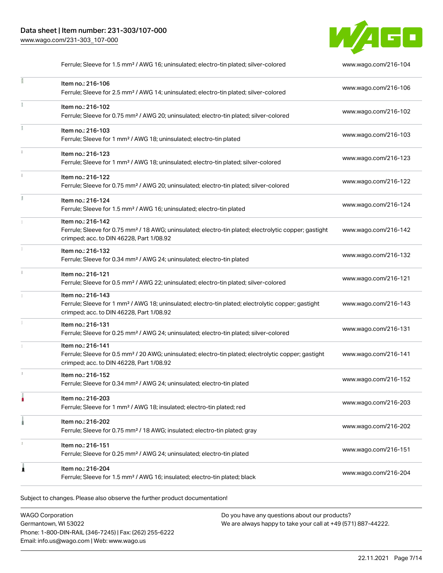

|    | Ferrule; Sleeve for 1.5 mm <sup>2</sup> / AWG 16; uninsulated; electro-tin plated; silver-colored                                                                                  | www.wago.com/216-104 |
|----|------------------------------------------------------------------------------------------------------------------------------------------------------------------------------------|----------------------|
|    | Item no.: 216-106<br>Ferrule; Sleeve for 2.5 mm <sup>2</sup> / AWG 14; uninsulated; electro-tin plated; silver-colored                                                             | www.wago.com/216-106 |
|    | Item no.: 216-102<br>Ferrule; Sleeve for 0.75 mm <sup>2</sup> / AWG 20; uninsulated; electro-tin plated; silver-colored                                                            | www.wago.com/216-102 |
| Ĭ. | Item no.: 216-103<br>Ferrule; Sleeve for 1 mm <sup>2</sup> / AWG 18; uninsulated; electro-tin plated                                                                               | www.wago.com/216-103 |
| î. | Item no.: 216-123<br>Ferrule; Sleeve for 1 mm <sup>2</sup> / AWG 18; uninsulated; electro-tin plated; silver-colored                                                               | www.wago.com/216-123 |
|    | Item no.: 216-122<br>Ferrule; Sleeve for 0.75 mm <sup>2</sup> / AWG 20; uninsulated; electro-tin plated; silver-colored                                                            | www.wago.com/216-122 |
| ĭ  | Item no.: 216-124<br>Ferrule; Sleeve for 1.5 mm <sup>2</sup> / AWG 16; uninsulated; electro-tin plated                                                                             | www.wago.com/216-124 |
|    | Item no.: 216-142<br>Ferrule; Sleeve for 0.75 mm <sup>2</sup> / 18 AWG; uninsulated; electro-tin plated; electrolytic copper; gastight<br>crimped; acc. to DIN 46228, Part 1/08.92 | www.wago.com/216-142 |
|    | Item no.: 216-132<br>Ferrule; Sleeve for 0.34 mm <sup>2</sup> / AWG 24; uninsulated; electro-tin plated                                                                            | www.wago.com/216-132 |
| ī. | Item no.: 216-121<br>Ferrule; Sleeve for 0.5 mm <sup>2</sup> / AWG 22; uninsulated; electro-tin plated; silver-colored                                                             | www.wago.com/216-121 |
|    | Item no.: 216-143<br>Ferrule; Sleeve for 1 mm <sup>2</sup> / AWG 18; uninsulated; electro-tin plated; electrolytic copper; gastight<br>crimped; acc. to DIN 46228, Part 1/08.92    | www.wago.com/216-143 |
|    | Item no.: 216-131<br>Ferrule; Sleeve for 0.25 mm <sup>2</sup> / AWG 24; uninsulated; electro-tin plated; silver-colored                                                            | www.wago.com/216-131 |
|    | Item no.: 216-141<br>Ferrule; Sleeve for 0.5 mm <sup>2</sup> / 20 AWG; uninsulated; electro-tin plated; electrolytic copper; gastight<br>crimped; acc. to DIN 46228, Part 1/08.92  | www.wago.com/216-141 |
| s. | Item no.: 216-152<br>Ferrule; Sleeve for 0.34 mm <sup>2</sup> / AWG 24; uninsulated; electro-tin plated                                                                            | www.wago.com/216-152 |
|    | Item no.: 216-203<br>Ferrule; Sleeve for 1 mm <sup>2</sup> / AWG 18; insulated; electro-tin plated; red                                                                            | www.wago.com/216-203 |
|    | Item no.: 216-202<br>Ferrule; Sleeve for 0.75 mm <sup>2</sup> / 18 AWG; insulated; electro-tin plated; gray                                                                        | www.wago.com/216-202 |
|    | Item no.: 216-151<br>Ferrule; Sleeve for 0.25 mm <sup>2</sup> / AWG 24; uninsulated; electro-tin plated                                                                            | www.wago.com/216-151 |
|    | Item no.: 216-204<br>Ferrule; Sleeve for 1.5 mm <sup>2</sup> / AWG 16; insulated; electro-tin plated; black                                                                        | www.wago.com/216-204 |
|    |                                                                                                                                                                                    |                      |

Subject to changes. Please also observe the further product documentation!

WAGO Corporation Germantown, WI 53022 Phone: 1-800-DIN-RAIL (346-7245) | Fax: (262) 255-6222 Email: info.us@wago.com | Web: www.wago.us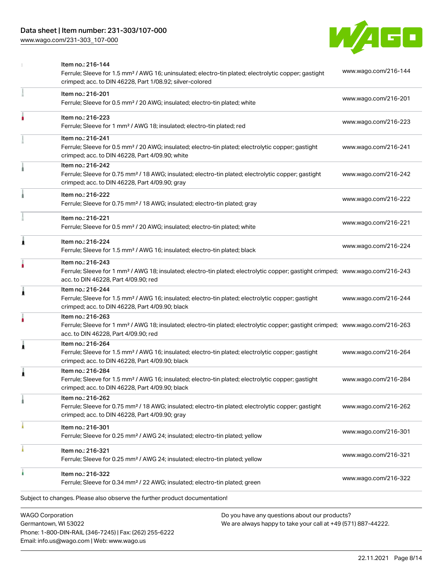### Data sheet | Item number: 231-303/107-000

[www.wago.com/231-303\\_107-000](http://www.wago.com/231-303_107-000)



|                         | Item no.: 216-144<br>Ferrule; Sleeve for 1.5 mm <sup>2</sup> / AWG 16; uninsulated; electro-tin plated; electrolytic copper; gastight<br>crimped; acc. to DIN 46228, Part 1/08.92; silver-colored       | www.wago.com/216-144 |
|-------------------------|---------------------------------------------------------------------------------------------------------------------------------------------------------------------------------------------------------|----------------------|
|                         | Item no.: 216-201<br>Ferrule; Sleeve for 0.5 mm <sup>2</sup> / 20 AWG; insulated; electro-tin plated; white                                                                                             | www.wago.com/216-201 |
|                         | Item no.: 216-223<br>Ferrule; Sleeve for 1 mm <sup>2</sup> / AWG 18; insulated; electro-tin plated; red                                                                                                 | www.wago.com/216-223 |
|                         | Item no.: 216-241<br>Ferrule; Sleeve for 0.5 mm <sup>2</sup> / 20 AWG; insulated; electro-tin plated; electrolytic copper; gastight<br>crimped; acc. to DIN 46228, Part 4/09.90; white                  | www.wago.com/216-241 |
|                         | Item no.: 216-242<br>Ferrule; Sleeve for 0.75 mm <sup>2</sup> / 18 AWG; insulated; electro-tin plated; electrolytic copper; gastight<br>crimped; acc. to DIN 46228, Part 4/09.90; gray                  | www.wago.com/216-242 |
|                         | Item no.: 216-222<br>Ferrule; Sleeve for 0.75 mm <sup>2</sup> / 18 AWG; insulated; electro-tin plated; gray                                                                                             | www.wago.com/216-222 |
|                         | Item no.: 216-221<br>Ferrule; Sleeve for 0.5 mm <sup>2</sup> / 20 AWG; insulated; electro-tin plated; white                                                                                             | www.wago.com/216-221 |
| ٨                       | Item no.: 216-224<br>Ferrule; Sleeve for 1.5 mm <sup>2</sup> / AWG 16; insulated; electro-tin plated; black                                                                                             | www.wago.com/216-224 |
|                         | Item no.: 216-243<br>Ferrule; Sleeve for 1 mm <sup>2</sup> / AWG 18; insulated; electro-tin plated; electrolytic copper; gastight crimped; www.wago.com/216-243<br>acc. to DIN 46228, Part 4/09.90; red |                      |
| 1                       | Item no.: 216-244<br>Ferrule; Sleeve for 1.5 mm <sup>2</sup> / AWG 16; insulated; electro-tin plated; electrolytic copper; gastight<br>crimped; acc. to DIN 46228, Part 4/09.90; black                  | www.wago.com/216-244 |
|                         | Item no.: 216-263<br>Ferrule; Sleeve for 1 mm <sup>2</sup> / AWG 18; insulated; electro-tin plated; electrolytic copper; gastight crimped; www.wago.com/216-263<br>acc. to DIN 46228, Part 4/09.90; red |                      |
| 1                       | Item no.: 216-264<br>Ferrule; Sleeve for 1.5 mm <sup>2</sup> / AWG 16; insulated; electro-tin plated; electrolytic copper; gastight<br>crimped; acc. to DIN 46228, Part 4/09.90; black                  | www.wago.com/216-264 |
| 1                       | Item no.: 216-284<br>Ferrule; Sleeve for 1.5 mm <sup>2</sup> / AWG 16; insulated; electro-tin plated; electrolytic copper; gastight<br>crimped; acc. to DIN 46228, Part 4/09.90; black                  | www.wago.com/216-284 |
|                         | Item no.: 216-262<br>Ferrule; Sleeve for 0.75 mm <sup>2</sup> / 18 AWG; insulated; electro-tin plated; electrolytic copper; gastight<br>crimped; acc. to DIN 46228, Part 4/09.90; gray                  | www.wago.com/216-262 |
|                         | Item no.: 216-301<br>Ferrule; Sleeve for 0.25 mm <sup>2</sup> / AWG 24; insulated; electro-tin plated; yellow                                                                                           | www.wago.com/216-301 |
|                         | Item no.: 216-321<br>Ferrule; Sleeve for 0.25 mm <sup>2</sup> / AWG 24; insulated; electro-tin plated; yellow                                                                                           | www.wago.com/216-321 |
|                         | Item no.: 216-322<br>Ferrule; Sleeve for 0.34 mm <sup>2</sup> / 22 AWG; insulated; electro-tin plated; green                                                                                            | www.wago.com/216-322 |
|                         | Subject to changes. Please also observe the further product documentation!                                                                                                                              |                      |
| <b>WAGO Corporation</b> | Do you have any questions about our products?                                                                                                                                                           |                      |

Germantown, WI 53022 Phone: 1-800-DIN-RAIL (346-7245) | Fax: (262) 255-6222 Email: info.us@wago.com | Web: www.wago.us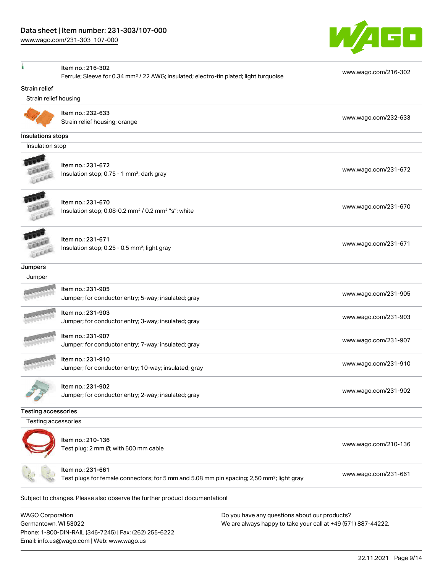Email: info.us@wago.com | Web: www.wago.us

[www.wago.com/231-303\\_107-000](http://www.wago.com/231-303_107-000)



|                                                 | Item no.: 216-302<br>Ferrule; Sleeve for 0.34 mm <sup>2</sup> / 22 AWG; insulated; electro-tin plated; light turquoise     | www.wago.com/216-302                                                                                           |
|-------------------------------------------------|----------------------------------------------------------------------------------------------------------------------------|----------------------------------------------------------------------------------------------------------------|
| <b>Strain relief</b>                            |                                                                                                                            |                                                                                                                |
| Strain relief housing                           |                                                                                                                            |                                                                                                                |
|                                                 | Item no.: 232-633<br>Strain relief housing; orange                                                                         | www.wago.com/232-633                                                                                           |
| Insulations stops                               |                                                                                                                            |                                                                                                                |
| Insulation stop                                 |                                                                                                                            |                                                                                                                |
|                                                 | Item no.: 231-672<br>Insulation stop; 0.75 - 1 mm <sup>2</sup> ; dark gray                                                 | www.wago.com/231-672                                                                                           |
|                                                 | Item no.: 231-670<br>Insulation stop; 0.08-0.2 mm <sup>2</sup> / 0.2 mm <sup>2</sup> "s"; white                            | www.wago.com/231-670                                                                                           |
|                                                 | Item no.: 231-671<br>Insulation stop; 0.25 - 0.5 mm <sup>2</sup> ; light gray                                              | www.wago.com/231-671                                                                                           |
| Jumpers                                         |                                                                                                                            |                                                                                                                |
| Jumper                                          |                                                                                                                            |                                                                                                                |
|                                                 | Item no.: 231-905<br>Jumper; for conductor entry; 5-way; insulated; gray                                                   | www.wago.com/231-905                                                                                           |
|                                                 | Item no.: 231-903<br>Jumper; for conductor entry; 3-way; insulated; gray                                                   | www.wago.com/231-903                                                                                           |
|                                                 | Item no.: 231-907<br>Jumper; for conductor entry; 7-way; insulated; gray                                                   | www.wago.com/231-907                                                                                           |
|                                                 | Item no.: 231-910<br>Jumper; for conductor entry; 10-way; insulated; gray                                                  | www.wago.com/231-910                                                                                           |
|                                                 | Item no.: 231-902<br>Jumper; for conductor entry; 2-way; insulated; gray                                                   | www.wago.com/231-902                                                                                           |
| <b>Testing accessories</b>                      |                                                                                                                            |                                                                                                                |
| Testing accessories                             |                                                                                                                            |                                                                                                                |
|                                                 | Item no.: 210-136<br>Test plug; 2 mm Ø; with 500 mm cable                                                                  | www.wago.com/210-136                                                                                           |
|                                                 | Item no.: 231-661<br>Test plugs for female connectors; for 5 mm and 5.08 mm pin spacing; 2,50 mm <sup>2</sup> ; light gray | www.wago.com/231-661                                                                                           |
|                                                 | Subject to changes. Please also observe the further product documentation!                                                 |                                                                                                                |
| <b>WAGO Corporation</b><br>Germantown, WI 53022 | Phone: 1-800-DIN-RAIL (346-7245)   Fax: (262) 255-6222                                                                     | Do you have any questions about our products?<br>We are always happy to take your call at +49 (571) 887-44222. |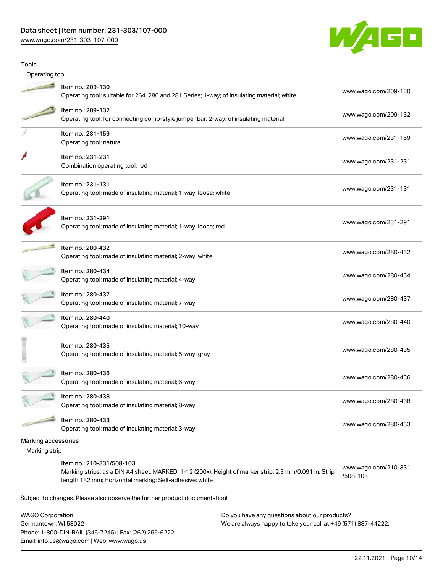### Data sheet | Item number: 231-303/107-000

[www.wago.com/231-303\\_107-000](http://www.wago.com/231-303_107-000)



| Tools               |                                                                                                                                                                                                |                                  |
|---------------------|------------------------------------------------------------------------------------------------------------------------------------------------------------------------------------------------|----------------------------------|
| Operating tool      |                                                                                                                                                                                                |                                  |
|                     | Item no.: 209-130<br>Operating tool; suitable for 264, 280 and 281 Series; 1-way; of insulating material; white                                                                                | www.wago.com/209-130             |
|                     | Item no.: 209-132<br>Operating tool; for connecting comb-style jumper bar; 2-way; of insulating material                                                                                       | www.wago.com/209-132             |
|                     | Item no.: 231-159<br>Operating tool; natural                                                                                                                                                   | www.wago.com/231-159             |
|                     | Item no.: 231-231<br>Combination operating tool; red                                                                                                                                           | www.wago.com/231-231             |
|                     | Item no.: 231-131<br>Operating tool; made of insulating material; 1-way; loose; white                                                                                                          | www.wago.com/231-131             |
|                     | Item no.: 231-291<br>Operating tool; made of insulating material; 1-way; loose; red                                                                                                            | www.wago.com/231-291             |
|                     | Item no.: 280-432<br>Operating tool; made of insulating material; 2-way; white                                                                                                                 | www.wago.com/280-432             |
|                     | Item no.: 280-434<br>Operating tool; made of insulating material; 4-way                                                                                                                        | www.wago.com/280-434             |
|                     | Item no.: 280-437<br>Operating tool; made of insulating material; 7-way                                                                                                                        | www.wago.com/280-437             |
|                     | ltem no.: 280-440<br>Operating tool; made of insulating material; 10-way                                                                                                                       | www.wago.com/280-440             |
|                     | Item no.: 280-435<br>Operating tool; made of insulating material; 5-way; gray                                                                                                                  | www.wago.com/280-435             |
|                     | Item no.: 280-436<br>Operating tool; made of insulating material; 6-way                                                                                                                        | www.wago.com/280-436             |
|                     | Item no.: 280-438<br>Operating tool; made of insulating material; 8-way                                                                                                                        | www.wago.com/280-438             |
|                     | Item no.: 280-433<br>Operating tool; made of insulating material; 3-way                                                                                                                        | www.wago.com/280-433             |
| Marking accessories |                                                                                                                                                                                                |                                  |
| Marking strip       |                                                                                                                                                                                                |                                  |
|                     | Item no.: 210-331/508-103<br>Marking strips; as a DIN A4 sheet; MARKED; 1-12 (200x); Height of marker strip: 2.3 mm/0.091 in; Strip<br>length 182 mm; Horizontal marking; Self-adhesive; white | www.wago.com/210-331<br>/508-103 |

WAGO Corporation Germantown, WI 53022 Phone: 1-800-DIN-RAIL (346-7245) | Fax: (262) 255-6222 Email: info.us@wago.com | Web: www.wago.us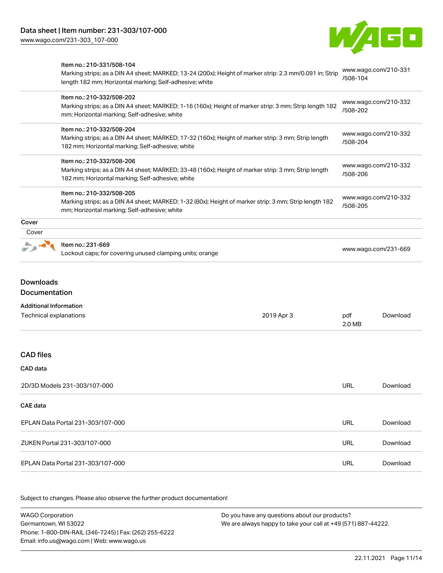Item no.: 210-331/508-104



[www.wago.com/210-331](http://www.wago.com/210-331/508-104)

[www.wago.com/210-332](http://www.wago.com/210-332/508-202)

[/508-104](http://www.wago.com/210-331/508-104)

[/508-202](http://www.wago.com/210-332/508-202)

# Marking strips; as a DIN A4 sheet; MARKED; 13-24 (200x); Height of marker strip: 2.3 mm/0.091 in; Strip length 182 mm; Horizontal marking; Self-adhesive; white Item no.: 210-332/508-202 Marking strips; as a DIN A4 sheet; MARKED; 1-16 (160x); Height of marker strip: 3 mm; Strip length 182

| mm; Horizontal marking; Self-adhesive; white                                                                                                                                         |                                  |
|--------------------------------------------------------------------------------------------------------------------------------------------------------------------------------------|----------------------------------|
| Item no.: 210-332/508-204<br>Marking strips; as a DIN A4 sheet; MARKED; 17-32 (160x); Height of marker strip: 3 mm; Strip length<br>182 mm; Horizontal marking; Self-adhesive; white | www.wago.com/210-332<br>/508-204 |
| Item no.: 210-332/508-206<br>Marking strips; as a DIN A4 sheet; MARKED; 33-48 (160x); Height of marker strip: 3 mm; Strip length<br>182 mm; Horizontal marking; Self-adhesive; white | www.wago.com/210-332<br>/508-206 |
| Item no.: 210-332/508-205                                                                                                                                                            |                                  |

Marking strips; as a DIN A4 sheet; MARKED; 1-32 (80x); Height of marker strip: 3 mm; Strip length 182 mm; Horizontal marking; Self-adhesive; white [www.wago.com/210-332](http://www.wago.com/210-332/508-205) [/508-205](http://www.wago.com/210-332/508-205)

# **Cover Cover** Item no.: 231-669 Lockout caps; for covering unused clamping units; orange [www.wago.com/231-669](http://www.wago.com/231-669)

# Downloads Documentation

| <b>Additional Information</b> |  |
|-------------------------------|--|
|-------------------------------|--|

| Technical explanations            | 2019 Apr 3 | pdf<br>2.0 MB | Download |
|-----------------------------------|------------|---------------|----------|
|                                   |            |               |          |
| <b>CAD</b> files                  |            |               |          |
| CAD data                          |            |               |          |
| 2D/3D Models 231-303/107-000      |            | <b>URL</b>    | Download |
| CAE data                          |            |               |          |
| EPLAN Data Portal 231-303/107-000 |            | <b>URL</b>    | Download |
| ZUKEN Portal 231-303/107-000      |            | <b>URL</b>    | Download |
| EPLAN Data Portal 231-303/107-000 |            | <b>URL</b>    | Download |

| WAGO Corporation                                       | Do you have any questions about our products?                 |  |  |
|--------------------------------------------------------|---------------------------------------------------------------|--|--|
| Germantown. WI 53022                                   | We are always happy to take your call at +49 (571) 887-44222. |  |  |
| Phone: 1-800-DIN-RAIL (346-7245)   Fax: (262) 255-6222 |                                                               |  |  |
| Email: info.us@wago.com   Web: www.wago.us             |                                                               |  |  |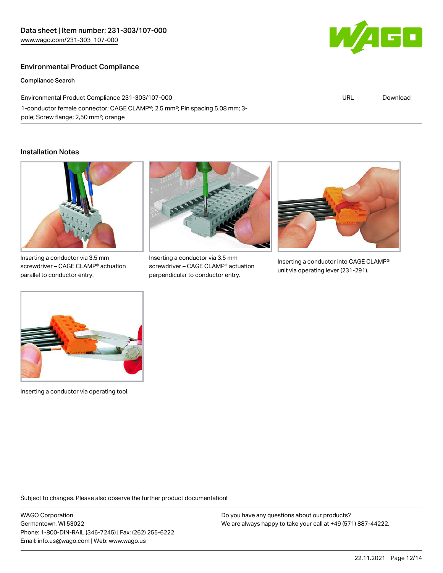### Environmental Product Compliance

Compliance Search

Environmental Product Compliance 231-303/107-000 1-conductor female connector; CAGE CLAMP®; 2.5 mm²; Pin spacing 5.08 mm; 3 pole; Screw flange; 2,50 mm²; orange

#### Installation Notes



screwdriver – CAGE CLAMP® actuation parallel to conductor entry.



Inserting a conductor via 3.5 mm screwdriver – CAGE CLAMP® actuation perpendicular to conductor entry.



Inserting a conductor into CAGE CLAMP® unit via operating lever (231-291).



Inserting a conductor via operating tool.

Subject to changes. Please also observe the further product documentation!

WAGO Corporation Germantown, WI 53022 Phone: 1-800-DIN-RAIL (346-7245) | Fax: (262) 255-6222 Email: info.us@wago.com | Web: www.wago.us

Do you have any questions about our products? We are always happy to take your call at +49 (571) 887-44222.



URL [Download](https://www.wago.com/global/d/ComplianceLinkMediaContainer_231-303_107-000)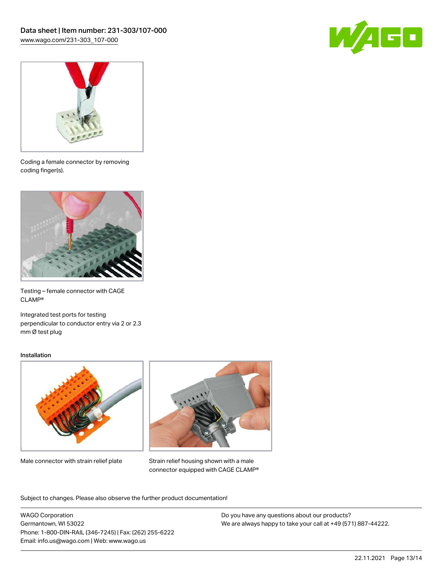



Coding a female connector by removing coding finger(s).



Testing – female connector with CAGE CLAMP®

Integrated test ports for testing perpendicular to conductor entry via 2 or 2.3 mm Ø test plug

#### Installation



Male connector with strain relief plate



Strain relief housing shown with a male connector equipped with CAGE CLAMP®

Subject to changes. Please also observe the further product documentation!

WAGO Corporation Germantown, WI 53022 Phone: 1-800-DIN-RAIL (346-7245) | Fax: (262) 255-6222 Email: info.us@wago.com | Web: www.wago.us